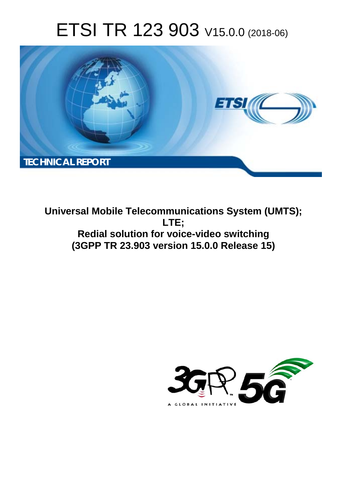# ETSI TR 123 903 V15.0.0 (2018-06)



**Universal Mobile Telecommunications System (UMTS); LTE; Redial solution for voice-video switching (3GPP TR 23.903 version 15.0.0 Release 15)** 

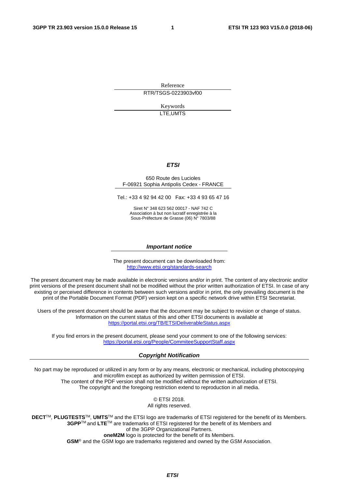Reference RTR/TSGS-0223903vf00

> Keywords LTE,UMTS

#### *ETSI*

#### 650 Route des Lucioles F-06921 Sophia Antipolis Cedex - FRANCE

Tel.: +33 4 92 94 42 00 Fax: +33 4 93 65 47 16

Siret N° 348 623 562 00017 - NAF 742 C Association à but non lucratif enregistrée à la Sous-Préfecture de Grasse (06) N° 7803/88

#### *Important notice*

The present document can be downloaded from: <http://www.etsi.org/standards-search>

The present document may be made available in electronic versions and/or in print. The content of any electronic and/or print versions of the present document shall not be modified without the prior written authorization of ETSI. In case of any existing or perceived difference in contents between such versions and/or in print, the only prevailing document is the print of the Portable Document Format (PDF) version kept on a specific network drive within ETSI Secretariat.

Users of the present document should be aware that the document may be subject to revision or change of status. Information on the current status of this and other ETSI documents is available at <https://portal.etsi.org/TB/ETSIDeliverableStatus.aspx>

If you find errors in the present document, please send your comment to one of the following services: <https://portal.etsi.org/People/CommiteeSupportStaff.aspx>

#### *Copyright Notification*

No part may be reproduced or utilized in any form or by any means, electronic or mechanical, including photocopying and microfilm except as authorized by written permission of ETSI. The content of the PDF version shall not be modified without the written authorization of ETSI. The copyright and the foregoing restriction extend to reproduction in all media.

> © ETSI 2018. All rights reserved.

**DECT**TM, **PLUGTESTS**TM, **UMTS**TM and the ETSI logo are trademarks of ETSI registered for the benefit of its Members. **3GPP**TM and **LTE**TM are trademarks of ETSI registered for the benefit of its Members and of the 3GPP Organizational Partners. **oneM2M** logo is protected for the benefit of its Members.

**GSM**® and the GSM logo are trademarks registered and owned by the GSM Association.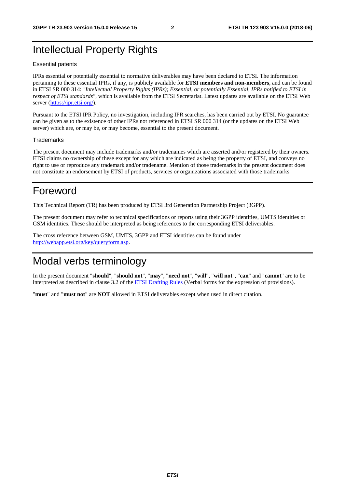# Intellectual Property Rights

#### Essential patents

IPRs essential or potentially essential to normative deliverables may have been declared to ETSI. The information pertaining to these essential IPRs, if any, is publicly available for **ETSI members and non-members**, and can be found in ETSI SR 000 314: *"Intellectual Property Rights (IPRs); Essential, or potentially Essential, IPRs notified to ETSI in respect of ETSI standards"*, which is available from the ETSI Secretariat. Latest updates are available on the ETSI Web server ([https://ipr.etsi.org/\)](https://ipr.etsi.org/).

Pursuant to the ETSI IPR Policy, no investigation, including IPR searches, has been carried out by ETSI. No guarantee can be given as to the existence of other IPRs not referenced in ETSI SR 000 314 (or the updates on the ETSI Web server) which are, or may be, or may become, essential to the present document.

#### **Trademarks**

The present document may include trademarks and/or tradenames which are asserted and/or registered by their owners. ETSI claims no ownership of these except for any which are indicated as being the property of ETSI, and conveys no right to use or reproduce any trademark and/or tradename. Mention of those trademarks in the present document does not constitute an endorsement by ETSI of products, services or organizations associated with those trademarks.

# Foreword

This Technical Report (TR) has been produced by ETSI 3rd Generation Partnership Project (3GPP).

The present document may refer to technical specifications or reports using their 3GPP identities, UMTS identities or GSM identities. These should be interpreted as being references to the corresponding ETSI deliverables.

The cross reference between GSM, UMTS, 3GPP and ETSI identities can be found under [http://webapp.etsi.org/key/queryform.asp.](http://webapp.etsi.org/key/queryform.asp)

# Modal verbs terminology

In the present document "**should**", "**should not**", "**may**", "**need not**", "**will**", "**will not**", "**can**" and "**cannot**" are to be interpreted as described in clause 3.2 of the [ETSI Drafting Rules](https://portal.etsi.org/Services/editHelp!/Howtostart/ETSIDraftingRules.aspx) (Verbal forms for the expression of provisions).

"**must**" and "**must not**" are **NOT** allowed in ETSI deliverables except when used in direct citation.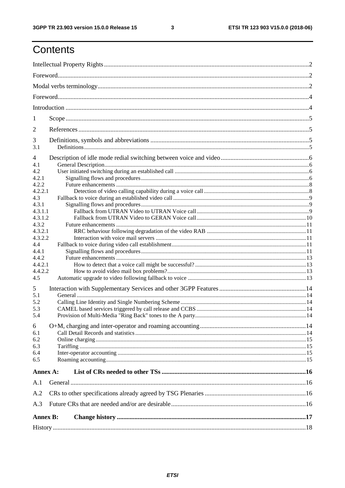$\mathbf{3}$ 

# Contents

| 1               |  |  |  |  |  |  |  |
|-----------------|--|--|--|--|--|--|--|
|                 |  |  |  |  |  |  |  |
| 2               |  |  |  |  |  |  |  |
| 3<br>3.1        |  |  |  |  |  |  |  |
|                 |  |  |  |  |  |  |  |
| 4               |  |  |  |  |  |  |  |
| 4.1<br>4.2      |  |  |  |  |  |  |  |
| 4.2.1           |  |  |  |  |  |  |  |
| 4.2.2           |  |  |  |  |  |  |  |
| 4.2.2.1         |  |  |  |  |  |  |  |
| 4.3             |  |  |  |  |  |  |  |
| 4.3.1           |  |  |  |  |  |  |  |
| 4.3.1.1         |  |  |  |  |  |  |  |
| 4.3.1.2         |  |  |  |  |  |  |  |
| 4.3.2           |  |  |  |  |  |  |  |
| 4.3.2.1         |  |  |  |  |  |  |  |
| 4.3.2.2         |  |  |  |  |  |  |  |
| 4.4             |  |  |  |  |  |  |  |
| 4.4.1           |  |  |  |  |  |  |  |
| 4.4.2           |  |  |  |  |  |  |  |
| 4.4.2.1         |  |  |  |  |  |  |  |
| 4.4.2.2         |  |  |  |  |  |  |  |
| 4.5             |  |  |  |  |  |  |  |
|                 |  |  |  |  |  |  |  |
| 5               |  |  |  |  |  |  |  |
| 5.1             |  |  |  |  |  |  |  |
| 5.2             |  |  |  |  |  |  |  |
| 5.3             |  |  |  |  |  |  |  |
| 5.4             |  |  |  |  |  |  |  |
| 6               |  |  |  |  |  |  |  |
| 6.1             |  |  |  |  |  |  |  |
| 6.2             |  |  |  |  |  |  |  |
| 6.3             |  |  |  |  |  |  |  |
| 6.4             |  |  |  |  |  |  |  |
| 6.5             |  |  |  |  |  |  |  |
| Annex A:        |  |  |  |  |  |  |  |
| A.1             |  |  |  |  |  |  |  |
| A.2             |  |  |  |  |  |  |  |
|                 |  |  |  |  |  |  |  |
| A.3             |  |  |  |  |  |  |  |
| <b>Annex B:</b> |  |  |  |  |  |  |  |
|                 |  |  |  |  |  |  |  |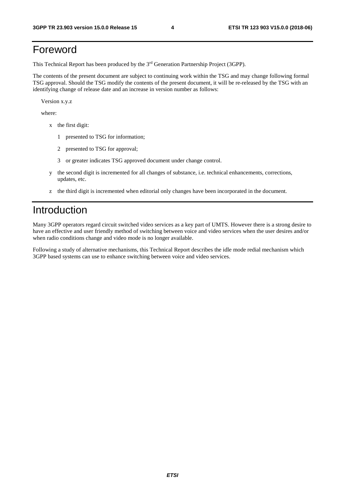# Foreword

This Technical Report has been produced by the 3rd Generation Partnership Project (3GPP).

The contents of the present document are subject to continuing work within the TSG and may change following formal TSG approval. Should the TSG modify the contents of the present document, it will be re-released by the TSG with an identifying change of release date and an increase in version number as follows:

Version x.y.z

where:

- x the first digit:
	- 1 presented to TSG for information;
	- 2 presented to TSG for approval;
	- 3 or greater indicates TSG approved document under change control.
- y the second digit is incremented for all changes of substance, i.e. technical enhancements, corrections, updates, etc.
- z the third digit is incremented when editorial only changes have been incorporated in the document.

### Introduction

Many 3GPP operators regard circuit switched video services as a key part of UMTS. However there is a strong desire to have an effective and user friendly method of switching between voice and video services when the user desires and/or when radio conditions change and video mode is no longer available.

Following a study of alternative mechanisms, this Technical Report describes the idle mode redial mechanism which 3GPP based systems can use to enhance switching between voice and video services.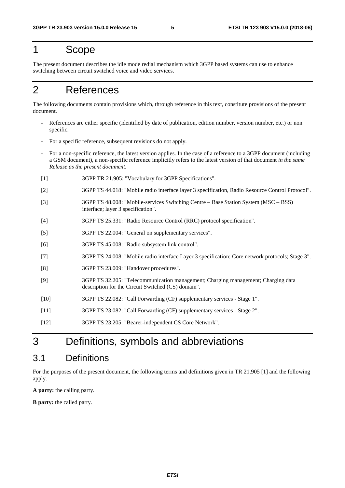### 1 Scope

The present document describes the idle mode redial mechanism which 3GPP based systems can use to enhance switching between circuit switched voice and video services.

# 2 References

The following documents contain provisions which, through reference in this text, constitute provisions of the present document.

- References are either specific (identified by date of publication, edition number, version number, etc.) or non specific.
- For a specific reference, subsequent revisions do not apply.
- For a non-specific reference, the latest version applies. In the case of a reference to a 3GPP document (including a GSM document), a non-specific reference implicitly refers to the latest version of that document *in the same Release as the present document*.
- [1] 3GPP TR 21.905: "Vocabulary for 3GPP Specifications".
- [2] 3GPP TS 44.018: "Mobile radio interface layer 3 specification, Radio Resource Control Protocol".
- [3] 3GPP TS 48.008: "Mobile-services Switching Centre Base Station System (MSC BSS) interface; layer 3 specification".
- [4] 3GPP TS 25.331: "Radio Resource Control (RRC) protocol specification".
- [5] 3GPP TS 22.004: "General on supplementary services".
- [6] 3GPP TS 45.008: "Radio subsystem link control".
- [7] 3GPP TS 24.008: "Mobile radio interface Layer 3 specification; Core network protocols; Stage 3".
- [8] 3GPP TS 23.009: "Handover procedures".
- [9] 3GPP TS 32.205: "Telecommunication management; Charging management; Charging data description for the Circuit Switched (CS) domain".
- [10] 3GPP TS 22.082: "Call Forwarding (CF) supplementary services Stage 1".
- [11] 3GPP TS 23.082: "Call Forwarding (CF) supplementary services Stage 2".
- [12] 3GPP TS 23.205: "Bearer-independent CS Core Network".

### 3 Definitions, symbols and abbreviations

### 3.1 Definitions

For the purposes of the present document, the following terms and definitions given in TR 21.905 [1] and the following apply.

**A party:** the calling party.

**B party:** the called party.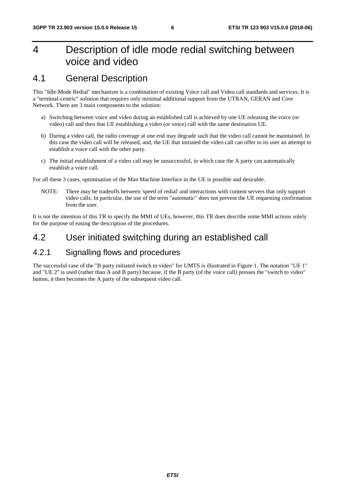# 4 Description of idle mode redial switching between voice and video

### 4.1 General Description

This "Idle-Mode Redial" mechanism is a combination of existing Voice call and Video call standards and services. It is a "terminal-centric" solution that requires only minimal additional support from the UTRAN, GERAN and Core Network. There are 3 main components to the solution:

- a) Switching between voice and video during an established call is achieved by one UE releasing the voice (or video) call and then that UE establishing a video (or voice) call with the same destination UE.
- b) During a video call, the radio coverage at one end may degrade such that the video call cannot be maintained. In this case the video call will be released, and, the UE that initiated the video call can offer to its user an attempt to establish a voice call with the other party.
- c) The initial establishment of a video call may be unsuccessful, in which case the A party can automatically establish a voice call.

For all these 3 cases, optimisation of the Man Machine Interface in the UE is possible and desirable.

NOTE: There may be tradeoffs between 'speed of redial' and interactions with content servers that only support video calls. In particular, the use of the term "automatic" does not prevent the UE requesting confirmation from the user.

It is not the intention of this TR to specify the MMI of UEs, however, this TR does describe some MMI actions solely for the purpose of easing the description of the procedures.

### 4.2 User initiated switching during an established call

### 4.2.1 Signalling flows and procedures

The successful case of the "B party initiated switch to video" for UMTS is illustrated in Figure 1. The notation "UE 1" and "UE 2" is used (rather than A and B party) because, if the B party (of the voice call) presses the "switch to video" button, it then becomes the A party of the subsequent video call.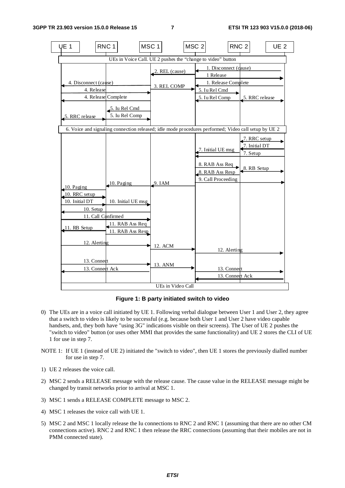

**Figure 1: B party initiated switch to video** 

- 0) The UEs are in a voice call initiated by UE 1. Following verbal dialogue between User 1 and User 2, they agree that a switch to video is likely to be successful (e.g. because both User 1 and User 2 have video capable handsets, and, they both have "using 3G" indications visible on their screens). The User of UE 2 pushes the "switch to video" button (or uses other MMI that provides the same functionality) and UE 2 stores the CLI of UE 1 for use in step 7.
- NOTE 1: If UE 1 (instead of UE 2) initiated the "switch to video", then UE 1 stores the previously dialled number for use in step 7.
- 1) UE 2 releases the voice call.
- 2) MSC 2 sends a RELEASE message with the release cause. The cause value in the RELEASE message might be changed by transit networks prior to arrival at MSC 1.
- 3) MSC 1 sends a RELEASE COMPLETE message to MSC 2.
- 4) MSC 1 releases the voice call with UE 1.
- 5) MSC 2 and MSC 1 locally release the Iu connections to RNC 2 and RNC 1 (assuming that there are no other CM connections active). RNC 2 and RNC 1 then release the RRC connections (assuming that their mobiles are not in PMM connected state).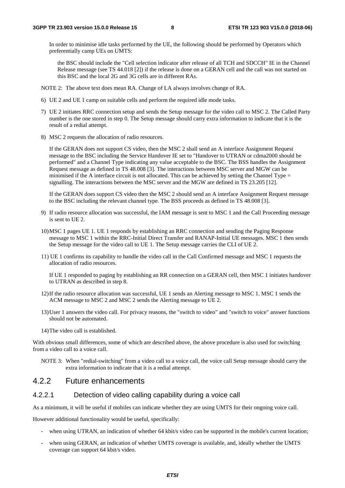In order to minimise idle tasks performed by the UE, the following should be performed by Operators which preferentially camp UEs on UMTS:

 the BSC should include the "Cell selection indicator after release of all TCH and SDCCH" IE in the Channel Release message (see TS 44.018 [2]) if the release is done on a GERAN cell and the call was not started on this BSC and the local 2G and 3G cells are in different RAs.

- NOTE 2: The above text does mean RA. Change of LA always involves change of RA.
- 6) UE 2 and UE 1 camp on suitable cells and perform the required idle mode tasks.
- 7) UE 2 initiates RRC connection setup and sends the Setup message for the video call to MSC 2. The Called Party number is the one stored in step 0. The Setup message should carry extra information to indicate that it is the result of a redial attempt.
- 8) MSC 2 requests the allocation of radio resources.

 If the GERAN does not support CS video, then the MSC 2 shall send an A interface Assignment Request message to the BSC including the Service Handover IE set to "Handover to UTRAN or cdma2000 should be performed" and a Channel Type indicating any value acceptable to the BSC. The BSS handles the Assignment Request message as defined in TS 48.008 [3]. The interactions between MSC server and MGW can be minimised if the A interface circuit is not allocated. This can be achieved by setting the Channel Type  $=$ signalling. The interactions between the MSC server and the MGW are defined in TS 23.205 [12].

 If the GERAN does support CS video then the MSC 2 should send an A interface Assignment Request message to the BSC including the relevant channel type. The BSS proceeds as defined in TS 48.008 [3].

- 9) If radio resource allocation was successful, the IAM message is sent to MSC 1 and the Call Proceeding message is sent to UE 2.
- 10) MSC 1 pages UE 1. UE 1 responds by establishing an RRC connection and sending the Paging Response message to MSC 1 within the RRC-Initial Direct Transfer and RANAP-Initial UE messages. MSC 1 then sends the Setup message for the video call to UE 1. The Setup message carries the CLI of UE 2.
- 11) UE 1 confirms its capability to handle the video call in the Call Confirmed message and MSC 1 requests the allocation of radio resources.

 If UE 1 responded to paging by establishing an RR connection on a GERAN cell, then MSC 1 initiates handover to UTRAN as described in step 8.

- 12) If the radio resource allocation was successful, UE 1 sends an Alerting message to MSC 1. MSC 1 sends the ACM message to MSC 2 and MSC 2 sends the Alerting message to UE 2.
- 13) User 1 answers the video call. For privacy reasons, the "switch to video" and "switch to voice" answer functions should not be automated.
- 14) The video call is established.

With obvious small differences, some of which are described above, the above procedure is also used for switching from a video call to a voice call.

NOTE 3: When "redial-switching" from a video call to a voice call, the voice call Setup message should carry the extra information to indicate that it is a redial attempt.

#### 4.2.2 Future enhancements

#### 4.2.2.1 Detection of video calling capability during a voice call

As a minimum, it will be useful if mobiles can indicate whether they are using UMTS for their ongoing voice call.

However additional functionality would be useful, specifically:

- when using UTRAN, an indication of whether 64 kbit/s video can be supported in the mobile's current location;
- when using GERAN, an indication of whether UMTS coverage is available, and, ideally whether the UMTS coverage can support 64 kbit/s video.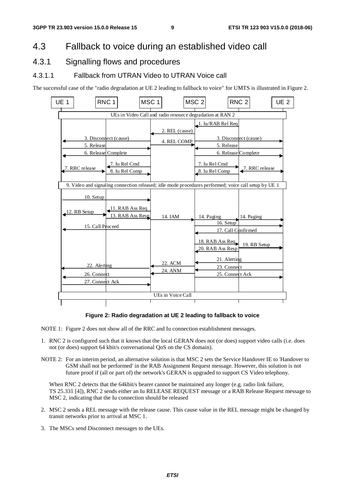### 4.3 Fallback to voice during an established video call

### 4.3.1 Signalling flows and procedures

#### 4.3.1.1 Fallback from UTRAN Video to UTRAN Voice call

The successful case of the "radio degradation at UE 2 leading to fallback to voice" for UMTS is illustrated in Figure 2.



#### **Figure 2: Radio degradation at UE 2 leading to fallback to voice**

NOTE 1: Figure 2 does not show all of the RRC and Iu connection establishment messages.

- 1. RNC 2 is configured such that it knows that the local GERAN does not (or does) support video calls (i.e. does not (or does) support 64 kbit/s conversational QoS on the CS domain).
- NOTE 2: For an interim period, an alternative solution is that MSC 2 sets the Service Handover IE to 'Handover to GSM shall not be performed' in the RAB Assignment Request message. However, this solution is not future proof if (all or part of) the network's GERAN is upgraded to support CS Video telephony.

When RNC 2 detects that the 64kbit/s bearer cannot be maintained any longer (e.g. radio link failure, TS 25.331 [4]), RNC 2 sends either an Iu RELEASE REQUEST message or a RAB Release Request message to MSC 2, indicating that the Iu connection should be released

- 2. MSC 2 sends a REL message with the release cause. This cause value in the REL message might be changed by transit networks prior to arrival at MSC 1.
- 3. The MSCs send Disconnect messages to the UEs.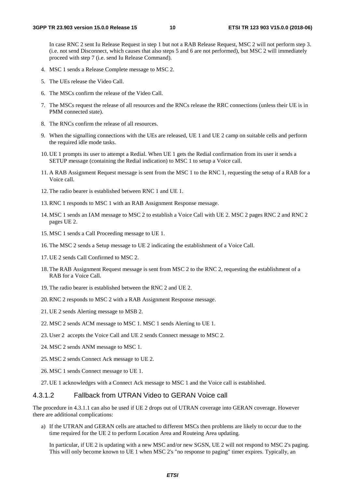In case RNC 2 sent Iu Release Request in step 1 but not a RAB Release Request, MSC 2 will not perform step 3. (i.e. not send Disconnect, which causes that also steps 5 and 6 are not performed), but MSC 2 will immediately proceed with step 7 (i.e. send Iu Release Command).

- 4. MSC 1 sends a Release Complete message to MSC 2.
- 5. The UEs release the Video Call.
- 6. The MSCs confirm the release of the Video Call.
- 7. The MSCs request the release of all resources and the RNCs release the RRC connections (unless their UE is in PMM connected state).
- 8. The RNCs confirm the release of all resources.
- 9. When the signalling connections with the UEs are released, UE 1 and UE 2 camp on suitable cells and perform the required idle mode tasks.
- 10. UE 1 prompts its user to attempt a Redial. When UE 1 gets the Redial confirmation from its user it sends a SETUP message (containing the Redial indication) to MSC 1 to setup a Voice call.
- 11. A RAB Assignment Request message is sent from the MSC 1 to the RNC 1, requesting the setup of a RAB for a Voice call.
- 12. The radio bearer is established between RNC 1 and UE 1.
- 13. RNC 1 responds to MSC 1 with an RAB Assignment Response message.
- 14. MSC 1 sends an IAM message to MSC 2 to establish a Voice Call with UE 2. MSC 2 pages RNC 2 and RNC 2 pages UE 2.
- 15. MSC 1 sends a Call Proceeding message to UE 1.
- 16. The MSC 2 sends a Setup message to UE 2 indicating the establishment of a Voice Call.
- 17. UE 2 sends Call Confirmed to MSC 2.
- 18. The RAB Assignment Request message is sent from MSC 2 to the RNC 2, requesting the establishment of a RAB for a Voice Call.
- 19. The radio bearer is established between the RNC 2 and UE 2.
- 20. RNC 2 responds to MSC 2 with a RAB Assignment Response message.
- 21. UE 2 sends Alerting message to MSB 2.
- 22. MSC 2 sends ACM message to MSC 1. MSC 1 sends Alerting to UE 1.
- 23. User 2 accepts the Voice Call and UE 2 sends Connect message to MSC 2.
- 24. MSC 2 sends ANM message to MSC 1.
- 25. MSC 2 sends Connect Ack message to UE 2.
- 26. MSC 1 sends Connect message to UE 1.
- 27. UE 1 acknowledges with a Connect Ack message to MSC 1 and the Voice call is established.

#### 4.3.1.2 Fallback from UTRAN Video to GERAN Voice call

The procedure in 4.3.1.1 can also be used if UE 2 drops out of UTRAN coverage into GERAN coverage. However there are additional complications:

a) If the UTRAN and GERAN cells are attached to different MSCs then problems are likely to occur due to the time required for the UE 2 to perform Location Area and Routeing Area updating.

 In particular, if UE 2 is updating with a new MSC and/or new SGSN, UE 2 will not respond to MSC 2's paging. This will only become known to UE 1 when MSC 2's "no response to paging" timer expires. Typically, an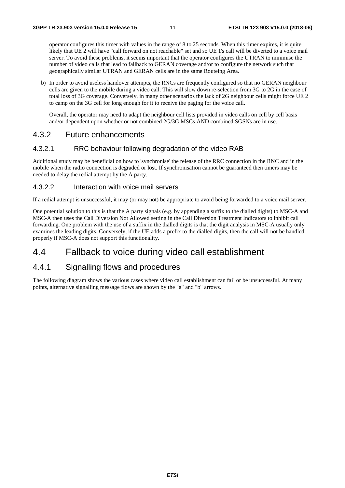operator configures this timer with values in the range of 8 to 25 seconds. When this timer expires, it is quite likely that UE 2 will have "call forward on not reachable" set and so UE 1's call will be diverted to a voice mail server. To avoid these problems, it seems important that the operator configures the UTRAN to minimise the number of video calls that lead to fallback to GERAN coverage and/or to configure the network such that geographically similar UTRAN and GERAN cells are in the same Routeing Area.

b) In order to avoid useless handover attempts, the RNCs are frequently configured so that no GERAN neighbour cells are given to the mobile during a video call. This will slow down re-selection from 3G to 2G in the case of total loss of 3G coverage. Conversely, in many other scenarios the lack of 2G neighbour cells might force UE 2 to camp on the 3G cell for long enough for it to receive the paging for the voice call.

 Overall, the operator may need to adapt the neighbour cell lists provided in video calls on cell by cell basis and/or dependent upon whether or not combined 2G/3G MSCs AND combined SGSNs are in use.

#### 4.3.2 Future enhancements

#### 4.3.2.1 RRC behaviour following degradation of the video RAB

Additional study may be beneficial on how to 'synchronise' the release of the RRC connection in the RNC and in the mobile when the radio connection is degraded or lost. If synchronisation cannot be guaranteed then timers may be needed to delay the redial attempt by the A party.

#### 4.3.2.2 Interaction with voice mail servers

If a redial attempt is unsuccessful, it may (or may not) be appropriate to avoid being forwarded to a voice mail server.

One potential solution to this is that the A party signals (e.g. by appending a suffix to the dialled digits) to MSC-A and MSC-A then uses the Call Diversion Not Allowed setting in the Call Diversion Treatment Indicators to inhibit call forwarding. One problem with the use of a suffix in the dialled digits is that the digit analysis in MSC-A usually only examines the leading digits. Conversely, if the UE adds a prefix to the dialled digits, then the call will not be handled properly if MSC-A does not support this functionality.

### 4.4 Fallback to voice during video call establishment

### 4.4.1 Signalling flows and procedures

The following diagram shows the various cases where video call establishment can fail or be unsuccessful. At many points, alternative signalling message flows are shown by the "a" and "b" arrows.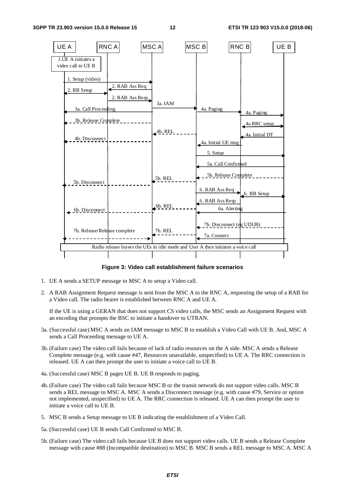

**Figure 3: Video call establishment failure scenarios** 

- 1. UE A sends a SETUP message to MSC A to setup a Video call.
- 2. A RAB Assignment Request message is sent from the MSC A to the RNC A, requesting the setup of a RAB for a Video call. The radio bearer is established between RNC A and UE A.

 If the UE is using a GERAN that does not support CS video calls, the MSC sends an Assignment Request with an encoding that prompts the BSC to initiate a handover to UTRAN.

- 3a. (Successful case) MSC A sends an IAM message to MSC B to establish a Video Call with UE B. And, MSC A sends a Call Proceeding message to UE A.
- 3b. (Failure case) The video call fails because of lack of radio resources on the A side. MSC A sends a Release Complete message (e.g. with cause #47, Resources unavailable, unspecified) to UE A. The RRC connection is released. UE A can then prompt the user to initiate a voice call to UE B.
- 4a. (Successful case) MSC B pages UE B. UE B responds to paging.
- 4b. (Failure case) The video call fails because MSC B or the transit network do not support video calls. MSC B sends a REL message to MSC A. MSC A sends a Disconnect message (e.g. with cause #79, Service or option not implemented, unspecified) to UE A. The RRC connection is released. UE A can then prompt the user to initiate a voice call to UE B.
- 5. MSC B sends a Setup message to UE B indicating the establishment of a Video Call.
- 5a. (Successful case) UE B sends Call Confirmed to MSC B.
- 5b. (Failure case) The video call fails because UE B does not support video calls. UE B sends a Release Complete message with cause #88 (Incompatible destination) to MSC B. MSC B sends a REL message to MSC A. MSC A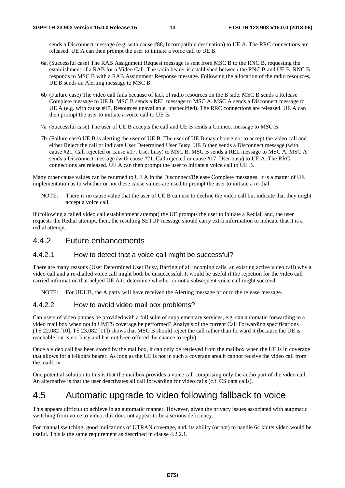sends a Disconnect message (e.g. with cause #88, Incompatible destination) to UE A. The RRC connections are released. UE A can then prompt the user to initiate a voice call to UE B.

- 6a. (Successful case) The RAB Assignment Request message is sent from MSC B to the RNC B, requesting the establishment of a RAB for a Video Call. The radio bearer is established between the RNC B and UE B. RNC B responds to MSC B with a RAB Assignment Response message. Following the allocation of the radio resources, UE B sends an Alerting message to MSC B.
- 6b (Failure case) The video call fails because of lack of radio resources on the B side. MSC B sends a Release Complete message to UE B. MSC B sends a REL message to MSC A. MSC A sends a Disconnect message to UE A (e.g. with cause #47, Resources unavailable, unspecified). The RRC connections are released. UE A can then prompt the user to initiate a voice call to UE B.
- 7a (Successful case) The user of UE B accepts the call and UE B sends a Connect message to MSC B.
- 7b (Failure case) UE B is alerting the user of UE B. The user of UE B may choose not to accept the video call and either Reject the call or indicate User Determined User Busy. UE B then sends a Disconnect message (with cause #21, Call rejected or cause #17, User busy) to MSC B. MSC B sends a REL message to MSC A. MSC A sends a Disconnect message (with cause #21, Call rejected or cause #17, User busy) to UE A. The RRC connections are released. UE A can then prompt the user to initiate a voice call to UE B.

Many other cause values can be returned to UE A in the Disconnect/Release Complete messages. It is a matter of UE implementation as to whether or not these cause values are used to prompt the user to initiate a re-dial.

NOTE: There is no cause value that the user of UE B can use to decline the video call but indicate that they might accept a voice call.

If (following a failed video call establishment attempt) the UE prompts the user to initiate a Redial, and, the user requests the Redial attempt, then, the resulting SETUP message should carry extra information to indicate that it is a redial attempt.

#### 4.4.2 Future enhancements

#### 4.4.2.1 How to detect that a voice call might be successful?

There are many reasons (User Determined User Busy, Barring of all incoming calls, an existing active video call) why a video call and a re-dialled voice call might both be unsuccessful. It would be useful if the rejection for the video call carried information that helped UE A to determine whether or not a subsequent voice call might succeed.

NOTE: For UDUB, the A party will have received the Alerting message prior to the release message.

#### 4.4.2.2 How to avoid video mail box problems?

Can users of video phones be provided with a full suite of supplementary services, e.g. can automatic forwarding to a video mail box when not in UMTS coverage be performed? Analysis of the current Call Forwarding specifications (TS 22.082 [10], TS 23.082 [11]) shows that MSC B should reject the call rather than forward it (because the UE is reachable but is not busy and has not been offered the chance to reply).

Once a video call has been stored by the mailbox, it can only be retrieved from the mailbox when the UE is in coverage that allows for a 64kbit/s bearer. As long as the UE is not in such a coverage area it cannot receive the video call from the mailbox.

One potential solution to this is that the mailbox provides a voice call comprising only the audio part of the video call. An alternative is that the user deactivates all call forwarding for video calls (c.f. CS data calls).

### 4.5 Automatic upgrade to video following fallback to voice

This appears difficult to achieve in an automatic manner. However, given the privacy issues associated with automatic switching from voice to video, this does not appear to be a serious deficiency.

For manual switching, good indications of UTRAN coverage, and, its ability (or not) to handle 64 kbit/s video would be useful. This is the same requirement as described in clause 4.2.2.1.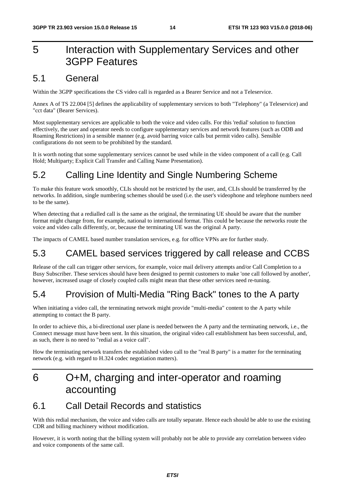# 5 Interaction with Supplementary Services and other 3GPP Features

### 5.1 General

Within the 3GPP specifications the CS video call is regarded as a Bearer Service and not a Teleservice.

Annex A of TS 22.004 [5] defines the applicability of supplementary services to both "Telephony" (a Teleservice) and "cct data" (Bearer Services).

Most supplementary services are applicable to both the voice and video calls. For this 'redial' solution to function effectively, the user and operator needs to configure supplementary services and network features (such as ODB and Roaming Restrictions) in a sensible manner (e.g. avoid barring voice calls but permit video calls). Sensible configurations do not seem to be prohibited by the standard.

It is worth noting that some supplementary services cannot be used while in the video component of a call (e.g. Call Hold; Multiparty; Explicit Call Transfer and Calling Name Presentation).

# 5.2 Calling Line Identity and Single Numbering Scheme

To make this feature work smoothly, CLIs should not be restricted by the user, and, CLIs should be transferred by the networks. In addition, single numbering schemes should be used (i.e. the user's videophone and telephone numbers need to be the same).

When detecting that a redialled call is the same as the original, the terminating UE should be aware that the number format might change from, for example, national to international format. This could be because the networks route the voice and video calls differently, or, because the terminating UE was the original A party.

The impacts of CAMEL based number translation services, e.g. for office VPNs are for further study.

# 5.3 CAMEL based services triggered by call release and CCBS

Release of the call can trigger other services, for example, voice mail delivery attempts and/or Call Completion to a Busy Subscriber. These services should have been designed to permit customers to make 'one call followed by another', however, increased usage of closely coupled calls might mean that these other services need re-tuning.

# 5.4 Provision of Multi-Media "Ring Back" tones to the A party

When initiating a video call, the terminating network might provide "multi-media" content to the A party while attempting to contact the B party.

In order to achieve this, a bi-directional user plane is needed between the A party and the terminating network, i.e., the Connect message must have been sent. In this situation, the original video call establishment has been successful, and, as such, there is no need to "redial as a voice call".

How the terminating network transfers the established video call to the "real B party" is a matter for the terminating network (e.g. with regard to H.324 codec negotiation matters).

# 6 O+M, charging and inter-operator and roaming accounting

### 6.1 Call Detail Records and statistics

With this redial mechanism, the voice and video calls are totally separate. Hence each should be able to use the existing CDR and billing machinery without modification.

However, it is worth noting that the billing system will probably not be able to provide any correlation between video and voice components of the same call.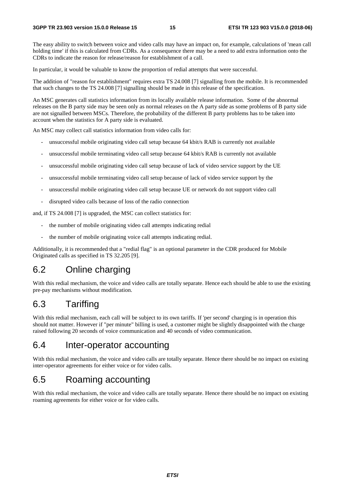The easy ability to switch between voice and video calls may have an impact on, for example, calculations of 'mean call holding time' if this is calculated from CDRs. As a consequence there may be a need to add extra information onto the CDRs to indicate the reason for release/reason for establishment of a call.

In particular, it would be valuable to know the proportion of redial attempts that were successful.

The addition of "reason for establishment" requires extra TS 24.008 [7] signalling from the mobile. It is recommended that such changes to the TS 24.008 [7] signalling should be made in this release of the specification.

An MSC generates call statistics information from its locally available release information. Some of the abnormal releases on the B party side may be seen only as normal releases on the A party side as some problems of B party side are not signalled between MSCs. Therefore, the probability of the different B party problems has to be taken into account when the statistics for A party side is evaluated.

An MSC may collect call statistics information from video calls for:

- unsuccessful mobile originating video call setup because 64 kbit/s RAB is currently not available
- unsuccessful mobile terminating video call setup because 64 kbit/s RAB is currently not available
- unsuccessful mobile originating video call setup because of lack of video service support by the UE
- unsuccessful mobile terminating video call setup because of lack of video service support by the
- unsuccessful mobile originating video call setup because UE or network do not support video call
- disrupted video calls because of loss of the radio connection

and, if TS 24.008 [7] is upgraded, the MSC can collect statistics for:

- the number of mobile originating video call attempts indicating redial
- the number of mobile originating voice call attempts indicating redial.

Additionally, it is recommended that a "redial flag" is an optional parameter in the CDR produced for Mobile Originated calls as specified in TS 32.205 [9].

### 6.2 Online charging

With this redial mechanism, the voice and video calls are totally separate. Hence each should be able to use the existing pre-pay mechanisms without modification.

### 6.3 Tariffing

With this redial mechanism, each call will be subject to its own tariffs. If 'per second' charging is in operation this should not matter. However if "per minute" billing is used, a customer might be slightly disappointed with the charge raised following 20 seconds of voice communication and 40 seconds of video communication.

### 6.4 Inter-operator accounting

With this redial mechanism, the voice and video calls are totally separate. Hence there should be no impact on existing inter-operator agreements for either voice or for video calls.

### 6.5 Roaming accounting

With this redial mechanism, the voice and video calls are totally separate. Hence there should be no impact on existing roaming agreements for either voice or for video calls.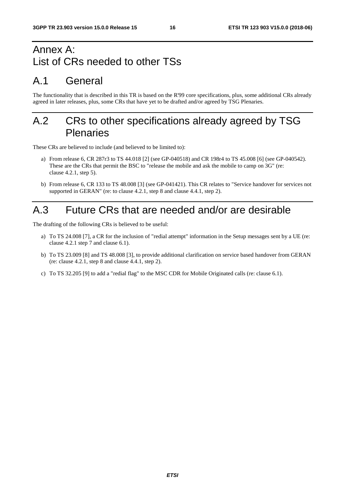# Annex A: List of CRs needed to other TSs

# A.1 General

The functionality that is described in this TR is based on the R'99 core specifications, plus, some additional CRs already agreed in later releases, plus, some CRs that have yet to be drafted and/or agreed by TSG Plenaries.

# A.2 CRs to other specifications already agreed by TSG **Plenaries**

These CRs are believed to include (and believed to be limited to):

- a) From release 6, CR 287r3 to TS 44.018 [2] (see GP-040518) and CR 198r4 to TS 45.008 [6] (see GP-040542). These are the CRs that permit the BSC to "release the mobile and ask the mobile to camp on 3G" (re: clause 4.2.1, step 5).
- b) From release 6, CR 133 to TS 48.008 [3] (see GP-041421). This CR relates to "Service handover for services not supported in GERAN" (re: to clause 4.2.1, step 8 and clause 4.4.1, step 2).

# A.3 Future CRs that are needed and/or are desirable

The drafting of the following CRs is believed to be useful:

- a) To TS 24.008 [7], a CR for the inclusion of "redial attempt" information in the Setup messages sent by a UE (re: clause 4.2.1 step 7 and clause 6.1).
- b) To TS 23.009 [8] and TS 48.008 [3], to provide additional clarification on service based handover from GERAN (re: clause 4.2.1, step 8 and clause 4.4.1, step 2).
- c) To TS 32.205 [9] to add a "redial flag" to the MSC CDR for Mobile Originated calls (re: clause 6.1).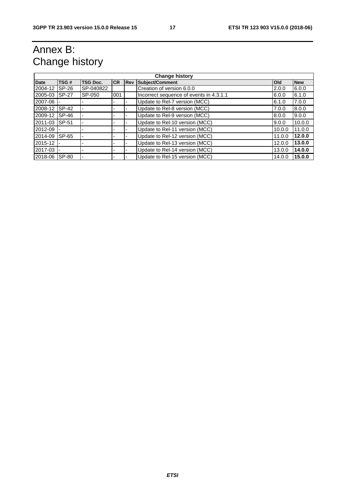# Annex B: Change history

| <b>Change history</b> |              |                 |            |            |                                         |            |            |  |  |
|-----------------------|--------------|-----------------|------------|------------|-----------------------------------------|------------|------------|--|--|
| <b>Date</b>           | TSG#         | <b>TSG Doc.</b> | <b>ICR</b> | <b>Rev</b> | Subject/Comment                         | <b>Old</b> | <b>New</b> |  |  |
| 2004-12               | SP-26        | SP-040822       |            |            | Creation of version 6.0.0               | 2.0.0      | 6.0.0      |  |  |
| 2005-03               | <b>SP-27</b> | SP-050          | 001        |            | Incorrect sequence of events in 4.3.1.1 | 6.0.0      | 6.1.0      |  |  |
| 2007-06               |              |                 |            |            | Update to Rel-7 version (MCC)           | 6.1.0      | 7.0.0      |  |  |
| 2008-12               | SP-42        |                 |            |            | Update to Rel-8 version (MCC)           | 7.0.0      | 8.0.0      |  |  |
| 2009-12               | SP-46        |                 |            |            | Update to Rel-9 version (MCC)           | 8.0.0      | 9.0.0      |  |  |
| 2011-03               | <b>SP-51</b> |                 |            |            | Update to Rel-10 version (MCC)          | 9.0.0      | 10.0.0     |  |  |
| 2012-09               |              |                 |            |            | Update to Rel-11 version (MCC)          | 10.0.0     | 11.0.0     |  |  |
| 2014-09               | SP-65        |                 |            |            | Update to Rel-12 version (MCC)          | 11.0.0     | 12.0.0     |  |  |
| 2015-12               |              |                 |            |            | Update to Rel-13 version (MCC)          | 12.0.0     | 13.0.0     |  |  |
| 2017-03               |              |                 |            |            | Update to Rel-14 version (MCC)          | 13.0.0     | 14.0.0     |  |  |
| 2018-06               | SP-80        |                 |            |            | Update to Rel-15 version (MCC)          | 14.0.0     | 15.0.0     |  |  |